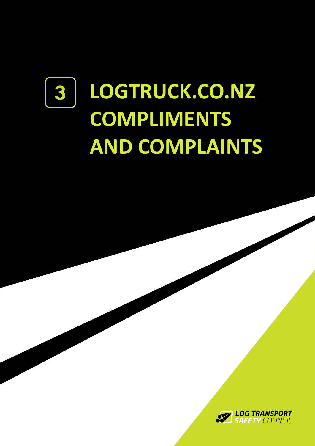# **3**  $LOGTRUCK.CO.NZ$ **COMPLIMENTS AND COMPLAINTS**

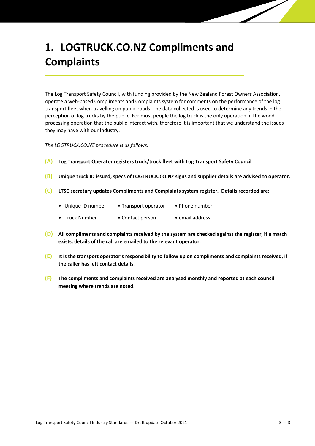# **1. LOGTRUCK.CO.NZ Compliments and Complaints**

The Log Transport Safety Council, with funding provided by the New Zealand Forest Owners Association, operate a web-based Compliments and Complaints system for comments on the performance of the log transport fleet when travelling on public roads. The data collected is used to determine any trends in the perception of log trucks by the public. For most people the log truck is the only operation in the wood processing operation that the public interact with, therefore it is important that we understand the issues they may have with our Industry.

*The LOGTRUCK.CO.NZ procedure is as follows:*

- **(A) Log Transport Operator registers truck/truck fleet with Log Transport Safety Council**
- **(B) Unique truck ID issued, specs of LOGTRUCK.CO.NZ signs and supplier details are advised to operator.**
- **(C) LTSC secretary updates Compliments and Complaints system register. Details recorded are:**
	- Unique ID number Transport operator Phone number
	- Truck Number Contact person email address
- **(D) All compliments and complaints received by the system are checked against the register, if a match exists, details of the call are emailed to the relevant operator.**
- **(E) It is the transport operator's responsibility to follow up on compliments and complaints received, if the caller has left contact details.**
- **(F) The compliments and complaints received are analysed monthly and reported at each council meeting where trends are noted.**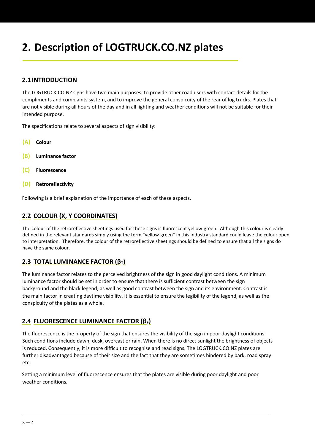# **2. Description of LOGTRUCK.CO.NZ plates**

### **2.1 INTRODUCTION**

The LOGTRUCK.CO.NZ signs have two main purposes: to provide other road users with contact details for the compliments and complaints system, and to improve the general conspicuity of the rear of log trucks. Plates that are not visible during all hours of the day and in all lighting and weather conditions will not be suitable for their intended purpose.

The specifications relate to several aspects of sign visibility:

- **(A) Colour**
- **(B) Luminance factor**
- **(C) Fluorescence**
- **(D) Retroreflectivity**

Following is a brief explanation of the importance of each of these aspects.

#### **2.2 COLOUR (X, Y COORDINATES)**

The colour of the retroreflective sheetings used for these signs is fluorescent yellow-green. Although this colour is clearly defined in the relevant standards simply using the term "yellow-green" in this industry standard could leave the colour open to interpretation. Therefore, the colour of the retroreflective sheetings should be defined to ensure that all the signs do have the same colour.

### **2.3 TOTAL LUMINANCE FACTOR (βT)**

The luminance factor relates to the perceived brightness of the sign in good daylight conditions. A minimum luminance factor should be set in order to ensure that there is sufficient contrast between the sign background and the black legend, as well as good contrast between the sign and its environment. Contrast is the main factor in creating daytime visibility. It is essential to ensure the legibility of the legend, as well as the conspicuity of the plates as a whole.

#### **2.4 FLUORESCENCE LUMINANCE FACTOR (βF)**

The fluorescence is the property of the sign that ensures the visibility of the sign in poor daylight conditions. Such conditions include dawn, dusk, overcast or rain. When there is no direct sunlight the brightness of objects is reduced. Consequently, it is more difficult to recognise and read signs. The LOGTRUCK.CO.NZ plates are further disadvantaged because of their size and the fact that they are sometimes hindered by bark, road spray etc.

Setting a minimum level of fluorescence ensures that the plates are visible during poor daylight and poor weather conditions.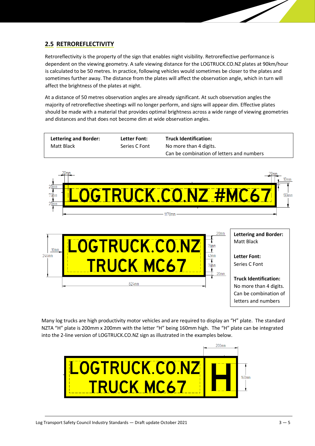## **2.5 RETROREFLECTIVITY**

Retroreflectivity is the property of the sign that enables night visibility. Retroreflective performance is dependent on the viewing geometry. A safe viewing distance for the LOGTRUCK.CO.NZ plates at 90km/hour is calculated to be 50 metres. In practice, following vehicles would sometimes be closer to the plates and sometimes further away. The distance from the plates will affect the observation angle, which in turn will affect the brightness of the plates at night.

At a distance of 50 metres observation angles are already significant. At such observation angles the majority of retroreflective sheetings will no longer perform, and signs will appear dim. Effective plates should be made with a material that provides optimal brightness across a wide range of viewing geometries and distances and that does not become dim at wide observation angles.

| Lettering and Border: | Letter Font:  | <b>Truck Identification:</b>              |  |
|-----------------------|---------------|-------------------------------------------|--|
| Matt Black            | Series C Font | No more than 4 digits.                    |  |
|                       |               | Can be combination of letters and numbers |  |



**Truck Identification:** No more than 4 digits. Can be combination of letters and numbers

Many log trucks are high productivity motor vehicles and are required to display an "H" plate. The standard NZTA "H" plate is 200mm x 200mm with the letter "H" being 160mm high. The "H" plate can be integrated into the 2-line version of LOGTRUCK.CO.NZ sign as illustrated in the examples below.

824mm

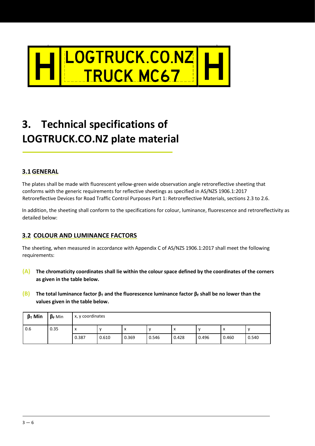# LOGTRUCK.CO.NZ **TRUCK MC67**

# **3. Technical specifications of LOGTRUCK.CO.NZ plate material**

### **3.1GENERAL**

The plates shall be made with fluorescent yellow-green wide observation angle retroreflective sheeting that conforms with the generic requirements for reflective sheetings as specified in AS/NZS 1906.1:2017 Retroreflective Devices for Road Traffic Control Purposes Part 1: Retroreflective Materials, sections 2.3 to 2.6.

In addition, the sheeting shall conform to the specifications for colour, luminance, fluorescence and retroreflectivity as detailed below:

## **3.2 COLOUR AND LUMINANCE FACTORS**

The sheeting, when measured in accordance with Appendix C of AS/NZS 1906.1:2017 shall meet the following requirements:

- **(A) The chromaticity coordinates shall lie within the colour space defined by the coordinates of the corners as given in the table below.**
- **(B) The total luminance factor**  $\beta$ **<sub>T</sub>** and the fluorescence luminance factor  $\beta$ <sub>F</sub> shall be no lower than the **values given in the table below.**

| $\beta$ <sub>T</sub> Min | $\beta_F$ Min | x, y coordinates |       |                           |       |           |       |       |              |  |
|--------------------------|---------------|------------------|-------|---------------------------|-------|-----------|-------|-------|--------------|--|
| 0.6                      | 0.35          | x                |       | $\boldsymbol{\mathsf{x}}$ |       | $\lambda$ |       | х     | $\mathbf{v}$ |  |
|                          |               | 0.387            | 0.610 | 0.369                     | 0.546 | 0.428     | 0.496 | 0.460 | 0.540        |  |